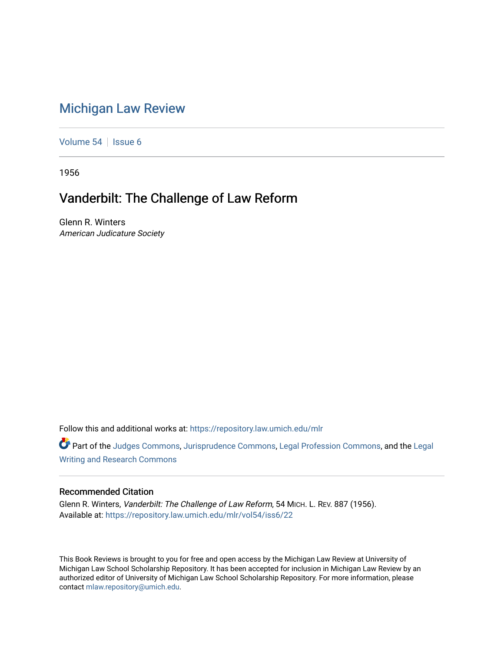## [Michigan Law Review](https://repository.law.umich.edu/mlr)

[Volume 54](https://repository.law.umich.edu/mlr/vol54) | [Issue 6](https://repository.law.umich.edu/mlr/vol54/iss6)

1956

## Vanderbilt: The Challenge of Law Reform

Glenn R. Winters American Judicature Society

Follow this and additional works at: [https://repository.law.umich.edu/mlr](https://repository.law.umich.edu/mlr?utm_source=repository.law.umich.edu%2Fmlr%2Fvol54%2Fiss6%2F22&utm_medium=PDF&utm_campaign=PDFCoverPages) 

Part of the [Judges Commons,](http://network.bepress.com/hgg/discipline/849?utm_source=repository.law.umich.edu%2Fmlr%2Fvol54%2Fiss6%2F22&utm_medium=PDF&utm_campaign=PDFCoverPages) [Jurisprudence Commons](http://network.bepress.com/hgg/discipline/610?utm_source=repository.law.umich.edu%2Fmlr%2Fvol54%2Fiss6%2F22&utm_medium=PDF&utm_campaign=PDFCoverPages), [Legal Profession Commons,](http://network.bepress.com/hgg/discipline/1075?utm_source=repository.law.umich.edu%2Fmlr%2Fvol54%2Fiss6%2F22&utm_medium=PDF&utm_campaign=PDFCoverPages) and the [Legal](http://network.bepress.com/hgg/discipline/614?utm_source=repository.law.umich.edu%2Fmlr%2Fvol54%2Fiss6%2F22&utm_medium=PDF&utm_campaign=PDFCoverPages)  [Writing and Research Commons](http://network.bepress.com/hgg/discipline/614?utm_source=repository.law.umich.edu%2Fmlr%2Fvol54%2Fiss6%2F22&utm_medium=PDF&utm_campaign=PDFCoverPages) 

## Recommended Citation

Glenn R. Winters, Vanderbilt: The Challenge of Law Reform, 54 MICH. L. REV. 887 (1956). Available at: [https://repository.law.umich.edu/mlr/vol54/iss6/22](https://repository.law.umich.edu/mlr/vol54/iss6/22?utm_source=repository.law.umich.edu%2Fmlr%2Fvol54%2Fiss6%2F22&utm_medium=PDF&utm_campaign=PDFCoverPages) 

This Book Reviews is brought to you for free and open access by the Michigan Law Review at University of Michigan Law School Scholarship Repository. It has been accepted for inclusion in Michigan Law Review by an authorized editor of University of Michigan Law School Scholarship Repository. For more information, please contact [mlaw.repository@umich.edu](mailto:mlaw.repository@umich.edu).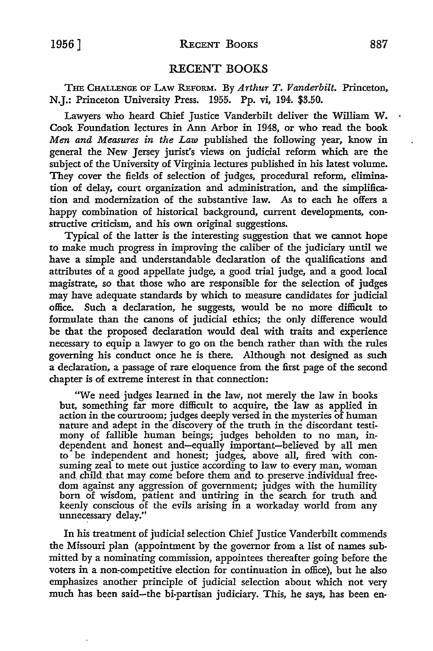## RECENT BOOKS

THE CHALLENGE OF LAW REFORM. By *Arthur T. Vanderbilt.* Princeton, N.J.: Princeton University Press. 1955. Pp. vi, 194. \$3.50.

Lawyers who heard Chief Justice Vanderbilt deliver the William W. Cook Foundation lectures in Ann Arbor in 1948, or who read the book *Men and Measures in the Law* published the following year, know in general the New Jersey jurist's views on judicial reform which are the subject of the University of Virginia lectures published in his latest volume. They cover the fields of selection of judges, procedural reform, elimination of delay, court organization and administration, and the simplification and modernization of the substantive law. As to each he offers a happy combination of historical background, current developments, constructive criticism, and his own original suggestions.

Typical of the latter is the interesting suggestion that we cannot hope to make much progress in improving the caliber of the judiciary until we have a simple and understandable declaration of the qualifications and attributes of a good appellate judge, a good trial judge, and a good local magistrate, so that those who are responsible for the selection of judges may have adequate standards by which to measure candidates for judicial office. Such a declaration, he suggests, would be no more difficult to formulate than the canons of judicial ethics; the only difference would be that the proposed declaration would deal with traits and experience necessary to equip a lawyer to go on the bench rather than with the rules governing his conduct once he is there. Although not designed as such a declaration, a passage of rare eloquence from the first page of the second chapter is of extreme interest in that connection:

"We need judges learned in the law, not merely the law in books but, something far more difficult to acquire, the law as applied in action in the courtroom; judges deeply versed in the mysteries of human nature and adept in the discovery of the truth in the discordant testimony of fallible human beings; judges beholden to no man, independent and honest and-equally important-believed by all men to be independent and honest; judges, above all, fired with consuming zeal to mete out justice according to law to every man, woman and child that may come before them and to preserve individual freedom against any aggression of government; judges with the humility born of wisdom, patient and untiring in the search for truth and keenly conscious of the evils arising in a workaday world from any unnecessary delay."

In his treatment of judicial selection Chief Justice Vanderbilt commends the Missouri plan (appointment by the governor from a list of names submitted by a nominating commission, appointees thereafter going before the voters in a non-competitive election for continuation in office), but he also emphasizes another principle of judicial selection about which not very much has been said-the bi-partisan judiciary. This, he says, has been en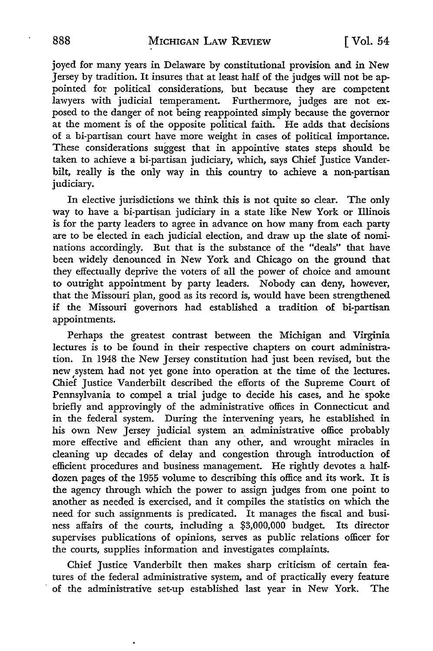joyed for many years in Delaware by constitutional provision and in New Jersey by tradition. It insures that at least half of the judges will not be appointed for political considerations, but because they are competent lawyers with judicial temperament. Furthermore, judges are not exposed to the danger of not being reappointed simply because the governor at the moment is of the opposite political faith. He adds that decisions of a bi-partisan court have more weight in cases of political importance. These considerations suggest that in appointive states steps should be taken to achieve a bi-partisan judiciary, which, says Chief Justice Vanderbilt, really is the only way in this country to achieve a non-partisan judiciary.

In elective jurisdictions we think this is not quite so clear. The only way to have a bi-partisan judiciary in a state like New York or Illinois is for the party leaders to agree in advance on how many from each party are to be elected in each judicial election, and draw up the slate of nominations accordingly. But that is the substance of the "deals" that have been widely denounced in New York and Chicago on the ground that they effectually deprive the voters of all the power of choice and amount to outright appointment by party leaders. Nobody can deny, however, that the Missouri plan, good as its record is, would have been strengthened if the Missouri governors had established a tradition of bi-partisan appointments.

Perhaps the greatest contrast between the Michigan and Virginia lectures is to be found in their respective chapters on court administration. In 1948 the New Jersey constitution had just been revised, but the new, system had not yet gone into operation at the time of the lectures. Chief Justice Vanderbilt described the efforts of the Supreme Court of Pennsylvania to compel a trial judge to decide his cases, and he spoke briefly and approvingly of the administrative offices in Connecticut and in the federal system. During the intervening years, he established in his own New Jersey judicial system an administrative office probably more effective and efficient than any other, and wrought miracles in cleaning up decades of delay and congestion through introduction of efficient procedures and business management. He rightly devotes a halfdozen pages of the 1955 volume to describing this office and its work. It is the agency through which the power to assign judges from one point to another as needed is exercised, and it compiles the statistics on which the need for such assignments is predicated. It manages the fiscal and business affairs of the courts, including a \$3,000,000 budget. Its director supervises publications of opinions, serves as public relations officer for the courts, supplies information and investigates complaints.

Chief Justice Vanderbilt then makes sharp criticism of certain features of the federal administrative system, and of practically every feature of the administrative set-up established last year in New York. The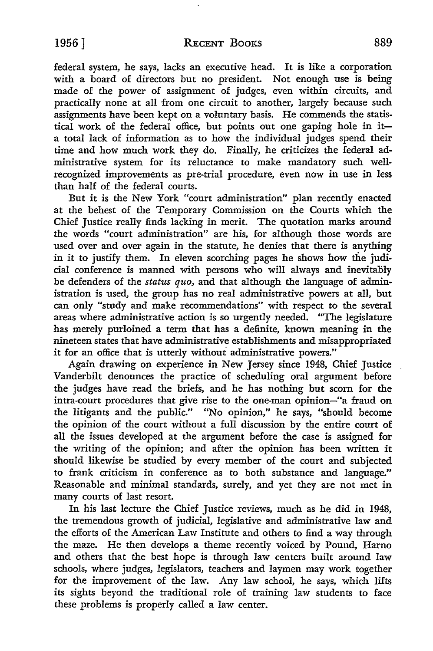federal system, he says, lacks an executive head. It is like a corporation with a board of directors but no president. Not enough use is being made of the power of assignment of judges, even within circuits, and practically none at all from one circuit to another, largely because such assignments have been kept on a voluntary basis. He commends the statistical work of the federal office, but points out one gaping hole in ita total lack of information as to how the individual judges spend their time and how much work they do. Finally, he criticizes the federal administrative system for its reluctance to make mandatory such wellrecognized improvements as pre-trial procedure, even now in use in less than half of the federal courts.

But it is the New York "court administration" plan recently enacted at the behest of the Temporary Commission on the Courts which the Chief Justice really finds lacking in merit. The quotation marks around the words "court administration" are his, for although those words are used over and over again in the statute, he denies that there is anything in it to justify them. In eleven scorching pages he shows how the judicial conference is manned with persons who will always and inevitably be defenders of the *status quo,* and that although the language of administration is used, the group has no real administrative powers at all, but can only "study and make recommendations" with respect to the several areas where administrative action is so urgently needed. "The legislature has merely purloined a term that has a definite, known meaning in the nineteen states that have administrative establishments and misappropriated it for an office that is utterly without administrative powers."

Again drawing on experience in New Jersey since 1948, Chief Justice Vanderbilt denounces the practice of scheduling oral argument before the judges have read the briefs, and he has nothing but scorn for the intra-court procedures that give rise to the one-man opinion-"a fraud on the litigants and the public." "No opinion," he says, "should become the opinion of the court without a full discussion by the entire court of all the issues developed at the argument before the case is assigned for the writing of the opinion; and after the opinion has been written it should likewise be studied by every member of the court and subjected to frank criticism in conference as to both substance and language." Reasonable and minimal standards, surely, and yet they are not met in many courts of last resort.

In his last lecture the Chief Justice reviews, much as he did in 1948, the tremendous growth of judicial, legislative and administrative law and the efforts of the American Law Institute and others to find a way through the maze. He then develops a theme recently voiced by Pound, Hamo and others that the best hope is through law centers built around law schools, where judges, legislators, teachers and laymen may work together for the improvement of the law. Any law school, he says, which lifts its sights beyond the traditional role of training law students to face these problems is properly called a law center.